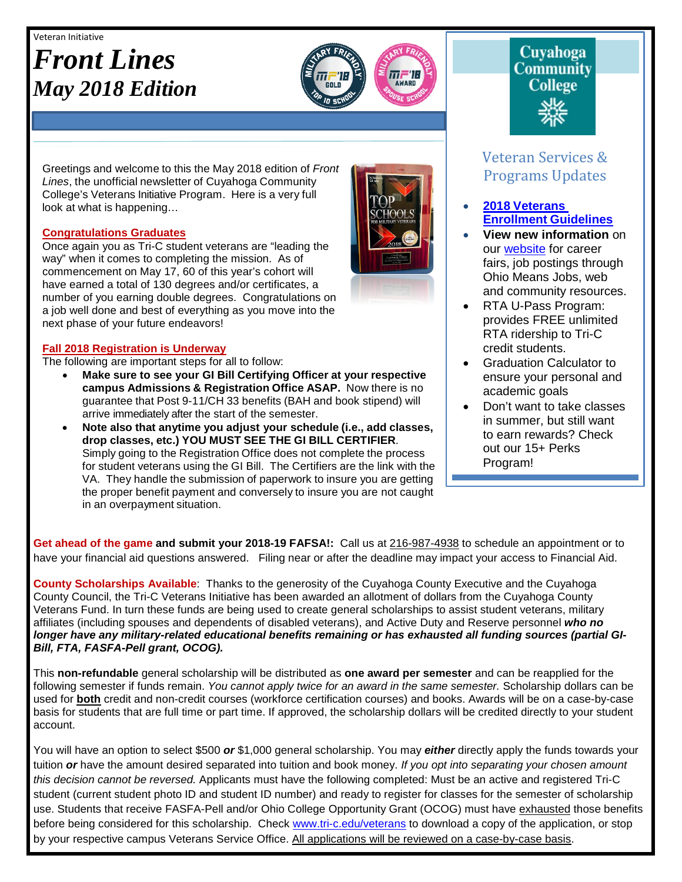#### Veteran Initiative

## *Front Lines May 2018 Edition*



Greetings and welcome to this the May 2018 edition of *Front Lines*, the unofficial newsletter of Cuyahoga Community College's Veterans Initiative Program. Here is a very full look at what is happening…

#### **Congratulations Graduates**

Once again you as Tri-C student veterans are "leading the way" when it comes to completing the mission. As of commencement on May 17, 60 of this year's cohort will have earned a total of 130 degrees and/or certificates, a number of you earning double degrees. Congratulations on a job well done and best of everything as you move into the next phase of your future endeavors!

#### **Fall 2018 Registration is Underway**

The following are important steps for all to follow:

- **Make sure to see your GI Bill Certifying Officer at your respective campus Admissions & Registration Office ASAP.** Now there is no guarantee that Post 9-11/CH 33 benefits (BAH and book stipend) will arrive immediately after the start of the semester.
- **Note also that anytime you adjust your schedule (i.e., add classes, drop classes, etc.) YOU MUST SEE THE GI BILL CERTIFIER**. Simply going to the Registration Office does not complete the process for student veterans using the GI Bill. The Certifiers are the link with the VA. They handle the submission of paperwork to insure you are getting the proper benefit payment and conversely to insure you are not caught in an overpayment situation.



# **Community College**

**Cuvahoga** 

### Veteran Services & Programs Updates

- **2018 [Veterans](http://www.tri-c.edu/veterans/documents/veterans-student-veteran-guide-flyer-2017.pdf) [Enrollment](http://www.tri-c.edu/veterans/documents/veterans-student-veteran-guide-flyer-2017.pdf) Guidelines**
- **View new information** on our [website](http://www.tri-c.edu/veterans/) for career fairs, job postings through Ohio Means Jobs, web and community resources.
- RTA U-Pass Program: provides FREE unlimited RTA ridership to Tri-C credit students.
- Graduation Calculator to ensure your personal and academic goals
- Don't want to take classes in summer, but still want to earn rewards? Check out our 15+ Perks Program!

•

**Get ahead of the game and submit your 2018-19 FAFSA!:** Call us at 216-987-4938 to schedule an appointment or to have your financial aid questions answered. Filing near or after the deadline may impact your access to Financial Aid.

**County Scholarships Available**: Thanks to the generosity of the Cuyahoga County Executive and the Cuyahoga County Council, the Tri-C Veterans Initiative has been awarded an allotment of dollars from the Cuyahoga County Veterans Fund. In turn these funds are being used to create general scholarships to assist student veterans, military affiliates (including spouses and dependents of disabled veterans), and Active Duty and Reserve personnel *who no longer have any military-related educational benefits remaining or has exhausted all funding sources (partial GI-Bill, FTA, FASFA-Pell grant, OCOG).*

This **non-refundable** general scholarship will be distributed as **one award per semester** and can be reapplied for the following semester if funds remain. *You cannot apply twice for an award in the same semester.* Scholarship dollars can be used for **both** credit and non-credit courses (workforce certification courses) and books. Awards will be on a case-by-case basis for students that are full time or part time. If approved, the scholarship dollars will be credited directly to your student account.

You will have an option to select \$500 *or* \$1,000 general scholarship. You may *either* directly apply the funds towards your tuition *or* have the amount desired separated into tuition and book money. *If you opt into separating your chosen amount this decision cannot be reversed.* Applicants must have the following completed: Must be an active and registered Tri-C student (current student photo ID and student ID number) and ready to register for classes for the semester of scholarship use. Students that receive FASFA-Pell and/or Ohio College Opportunity Grant (OCOG) must have exhausted those benefits before being considered for this scholarship. Check [www.tri-c.edu/veterans](http://www.tri-c.edu/veterans) to download a copy of the application, or stop by your respective campus Veterans Service Office. All applications will be reviewed on a case-by-case basis.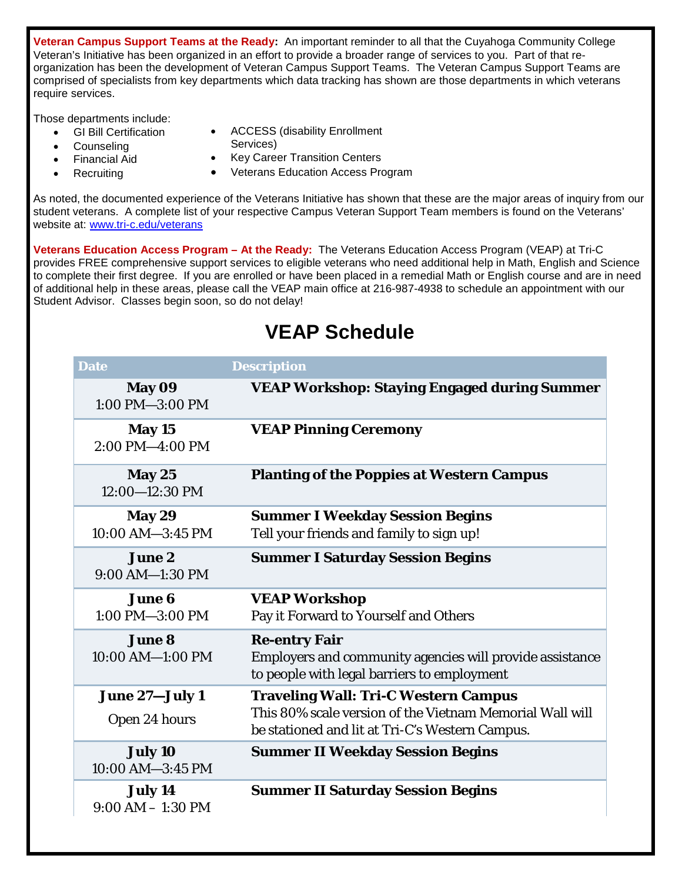**Veteran Campus Support Teams at the Ready:** An important reminder to all that the Cuyahoga Community College Veteran's Initiative has been organized in an effort to provide a broader range of services to you. Part of that reorganization has been the development of Veteran Campus Support Teams. The Veteran Campus Support Teams are comprised of specialists from key departments which data tracking has shown are those departments in which veterans require services.

Those departments include:

- GI Bill Certification
- **Counseling** 
	- Financial Aid
- **Recruiting**
- ACCESS (disability Enrollment
- Services)
- Key Career Transition Centers
- Veterans Education Access Program

As noted, the documented experience of the Veterans Initiative has shown that these are the major areas of inquiry from our student veterans. A complete list of your respective Campus Veteran Support Team members is found on the Veterans' website at: [www.tri-c.edu/veterans](http://www.tri-c.edu/veterans)

**Veterans Education Access Program – At the Ready:** The Veterans Education Access Program (VEAP) at Tri-C provides FREE comprehensive support services to eligible veterans who need additional help in Math, English and Science to complete their first degree. If you are enrolled or have been placed in a remedial Math or English course and are in need of additional help in these areas, please call the VEAP main office at 216-987-4938 to schedule an appointment with our Student Advisor. Classes begin soon, so do not delay!

### **VEAP Schedule**

| <b>Date</b>                           | <b>Description</b>                                                                                                              |
|---------------------------------------|---------------------------------------------------------------------------------------------------------------------------------|
| May 09<br>1:00 PM-3:00 PM             | <b>VEAP Workshop: Staying Engaged during Summer</b>                                                                             |
| May 15<br>2:00 PM-4:00 PM             | <b>VEAP Pinning Ceremony</b>                                                                                                    |
| May 25<br>$12:00 - 12:30$ PM          | <b>Planting of the Poppies at Western Campus</b>                                                                                |
| <b>May 29</b><br>10:00 AM-3:45 PM     | <b>Summer I Weekday Session Begins</b><br>Tell your friends and family to sign up!                                              |
| <b>June 2</b><br>9:00 AM-1:30 PM      | <b>Summer I Saturday Session Begins</b>                                                                                         |
| <b>June 6</b><br>$1:00$ PM $-3:00$ PM | <b>VEAP Workshop</b><br>Pay it Forward to Yourself and Others                                                                   |
| <b>June 8</b><br>10:00 AM-1:00 PM     | <b>Re-entry Fair</b><br>Employers and community agencies will provide assistance<br>to people with legal barriers to employment |
| June 27-July 1                        | <b>Traveling Wall: Tri-C Western Campus</b>                                                                                     |
| Open 24 hours                         | This 80% scale version of the Vietnam Memorial Wall will<br>be stationed and lit at Tri-C's Western Campus.                     |
| July 10<br>10:00 AM-3:45 PM           | <b>Summer II Weekday Session Begins</b>                                                                                         |
| July 14<br>$9:00 AM - 1:30 PM$        | <b>Summer II Saturday Session Begins</b>                                                                                        |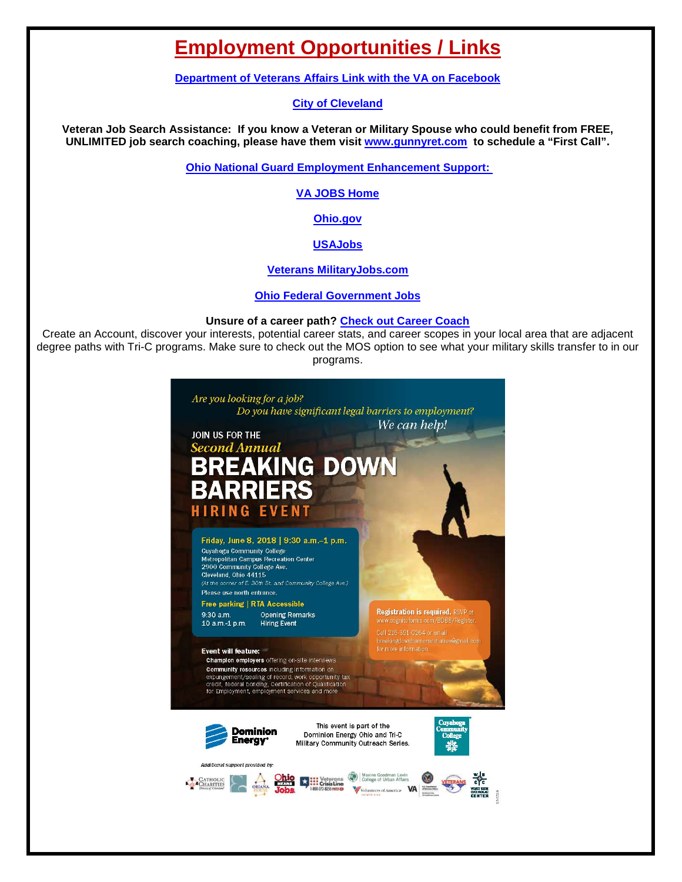### **Employment Opportunities / Links**

**[Department of Veterans Affairs Link with the VA on Facebook](https://www.facebook.com/VeteransAffairs/)**

#### **[City of Cleveland](http://www.city.cleveland.oh.us/CityofCleveland/Home/Community/CareerCenter)**

**Veteran Job Search Assistance: If you know a Veteran or Military Spouse who could benefit from FREE, UNLIMITED job search coaching, please have them visit [www.gunnyret.com](http://www.gunnyret.com/) to schedule a "First Call".**

**[Ohio National Guard Employment Enhancement Support:](https://drive.google.com/file/d/0B6KQApfHm1pGbnByRGlTNEhyUlU/view?usp=sharing)** 

**[VA JOBS Home](http://www.va.gov/jobs/)**

**[Ohio.gov](http://agency.governmentjobs.com/ohio/default.cfm?clearSearch=1)**

**[USAJobs](https://www.usajobs.gov/)**

**[Veterans MilitaryJobs.com](http://www.military.com/veteran-jobs)**

**[Ohio Federal Government Jobs](http://federalgovernmentjobs.us/job-location/ohiooh.htm)**

#### **Unsure of a career path? [Check out Career Coach](https://tri-c.emsicc.com/)**

Create an Account, discover your interests, potential career stats, and career scopes in your local area that are adjacent degree paths with Tri-C programs. Make sure to check out the MOS option to see what your military skills transfer to in our programs.

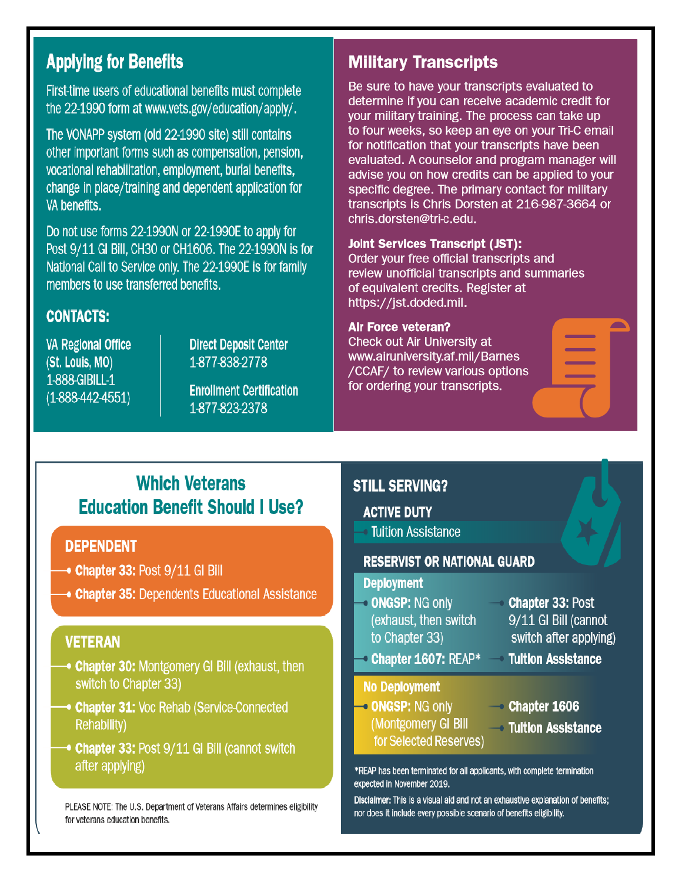### **Applying for Benefits**

First-time users of educational benefits must complete the 22-1990 form at www.vets.gov/education/apply/.

The VONAPP system (old 22-1990 site) still contains other important forms such as compensation, pension, vocational rehabilitation, employment, burial benefits, change in place/training and dependent application for VA benefits.

Do not use forms 22-1990N or 22-1990E to apply for Post 9/11 GI Bill, CH30 or CH1606. The 22-1990N is for National Call to Service only. The 22-1990E is for family members to use transferred benefits.

#### **CONTACTS:**

**VA Regional Office** (St. Louis, MO) 1-888-GIBILL-1  $(1-888-442-4551)$ 

**Direct Deposit Center** 1-877-838-2778

**Enrollment Certification** 1-877-823-2378

### **Military Transcripts**

Be sure to have your transcripts evaluated to determine if you can receive academic credit for your military training. The process can take up to four weeks, so keep an eye on your Tri-C email for notification that your transcripts have been evaluated. A counselor and program manager will advise you on how credits can be applied to your specific degree. The primary contact for military transcripts is Chris Dorsten at 216-987-3664 or chris.dorsten@tri-c.edu.

#### **Joint Services Transcript (JST):**

Order your free official transcripts and review unofficial transcripts and summaries of equivalent credits. Register at https://jst.doded.mil.

#### **Air Force veteran?**

Check out Air University at www.airuniversity.af.mil/Barnes /CCAF/ to review various options for ordering your transcripts.

### **Which Veterans Education Benefit Should I Use?**

#### **DEPENDENT**

- $\rightarrow$  Chapter 33: Post  $9/11$  GI Bill
- **Chapter 35: Dependents Educational Assistance**

#### **VETERAN**

- **Chapter 30: Montgomery GI Bill (exhaust, then** switch to Chapter 33)
- **Chapter 31: Voc Rehab (Service-Connected Rehability)**
- → Chapter 33: Post 9/11 GI Bill (cannot switch after applying)

PLEASE NOTE: The U.S. Department of Veterans Affairs determines eligibility for veterans education benefits.

#### **STILL SERVING?**

#### **ACTIVE DUTY**

**Tuition Assistance** 

#### **RESERVIST OR NATIONAL GUARD**

#### **Deployment**

- **ONGSP: NG only** (exhaust, then switch to Chapter 33)
- **Chapter 33: Post** 9/11 GI Bill (cannot switch after applying)
- **Chapter 1607: REAP\***

#### **No Deployment**

- ONGSP: NG only (Montgomery GI Bill for Selected Reserves)
- $\sim$  Chapter 1606

**Tultion Assistance** 

**→ Tuition Assistance** 

\*REAP has been terminated for all applicants, with complete termination expected in November 2019.

Disclaimer: This is a visual aid and not an exhaustive explanation of benefits; nor does it include every possible scenario of benefits eligibility.

 $\overline{\phantom{a}}$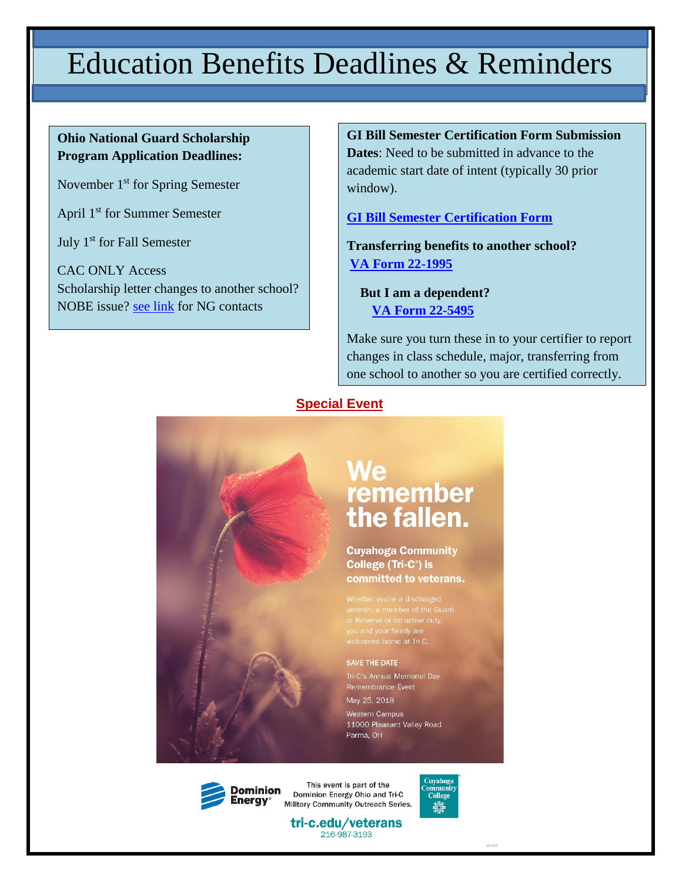# Education Benefits Deadlines & Reminders

#### **Ohio National Guard Scholarship Program Application Deadlines:**

November 1<sup>st</sup> for Spring Semester

April 1st for Summer Semester

July 1st for Fall Semester

CAC ONLY Access Scholarship letter changes to another school? NOBE issue? [see link](http://www.tri-c.edu/veterans/documents/ohio-national-guard-information.pdf) for NG contacts

**GI Bill Semester Certification Form Submission Dates**: Need to be submitted in advance to the academic start date of intent (typically 30 prior window).

**[GI Bill Semester Certification Form](http://www.tri-c.edu/veterans/documents/gi-bill-semester-form-responsiblities-2017.pdf)**

**Transferring benefits to another school? [VA Form 22-1995](http://www.tri-c.edu/veterans/documents/vba-22-1995-are.pdf)**

 **But I am a dependent? [VA Form 22-5495](http://www.tri-c.edu/veterans/documents/vba-22-5495-are.pdf)**

Make sure you turn these in to your certifier to report changes in class schedule, major, transferring from one school to another so you are certified correctly.

#### **Special Event**



### We remember the fallen.

**Cuyahoga Community** College (Tri-C<sup>®</sup>) is committed to veterans.

welcomed home at Tri-C

SAVE THE DATE Tri-C's Annual Memorial Day Remembrance Event May 25, 2018 Western Campus 11000 Pleasant Valley Road Parma, OH

Dominion

This event is part of the Dominion Energy Ohio and Tri-C Military Community Outreach Series.



tri-c.edu/veterans 216-987-3193